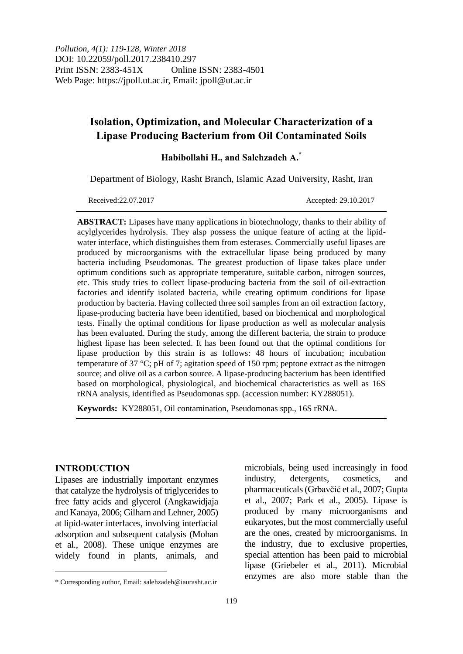# **Isolation, Optimization, and Molecular Characterization of a Lipase Producing Bacterium from Oil Contaminated Soils**

**Habibollahi H., and Salehzadeh A.\***

Department of Biology, Rasht Branch, Islamic Azad University, Rasht, Iran

Received:22.07.2017 Accepted: 29.10.2017

**ABSTRACT:** Lipases have many applications in biotechnology, thanks to their ability of acylglycerides hydrolysis. They alsp possess the unique feature of acting at the lipidwater interface, which distinguishes them from esterases. Commercially useful lipases are produced by microorganisms with the extracellular lipase being produced by many bacteria including Pseudomonas. The greatest production of lipase takes place under optimum conditions such as appropriate temperature, suitable carbon, nitrogen sources, etc. This study tries to collect lipase-producing bacteria from the soil of oil-extraction factories and identify isolated bacteria, while creating optimum conditions for lipase production by bacteria. Having collected three soil samples from an oil extraction factory, lipase-producing bacteria have been identified, based on biochemical and morphological tests. Finally the optimal conditions for lipase production as well as molecular analysis has been evaluated. During the study, among the different bacteria, the strain to produce highest lipase has been selected. It has been found out that the optimal conditions for lipase production by this strain is as follows: 48 hours of incubation; incubation temperature of 37 °C; pH of 7; agitation speed of 150 rpm; peptone extract as the nitrogen source; and olive oil as a carbon source. A lipase-producing bacterium has been identified based on morphological, physiological, and biochemical characteristics as well as 16S rRNA analysis, identified as Pseudomonas spp. (accession number: KY288051).

**Keywords:** KY288051, Oil contamination, Pseudomonas spp., 16S rRNA.

## **INTRODUCTION**

 $\overline{a}$ 

Lipases are industrially important enzymes that catalyze the hydrolysis of triglycerides to free fatty acids and glycerol (Angkawidjaja and Kanaya, 2006; Gilham and Lehner, 2005) at lipid-water interfaces, involving interfacial adsorption and subsequent catalysis (Mohan et al., 2008). These unique enzymes are widely found in plants, animals, and

microbials, being used increasingly in food industry, detergents, cosmetics, and pharmaceuticals (Grbavčić et al., 2007; Gupta et al., 2007; Park et al., 2005). Lipase is produced by many microorganisms and eukaryotes, but the most commercially useful are the ones, created by microorganisms. In the industry, due to exclusive properties, special attention has been paid to microbial lipase (Griebeler et al., 2011). Microbial enzymes are also more stable than the

<sup>\*</sup> Corresponding author, Email: salehzadeh@iaurasht.ac.ir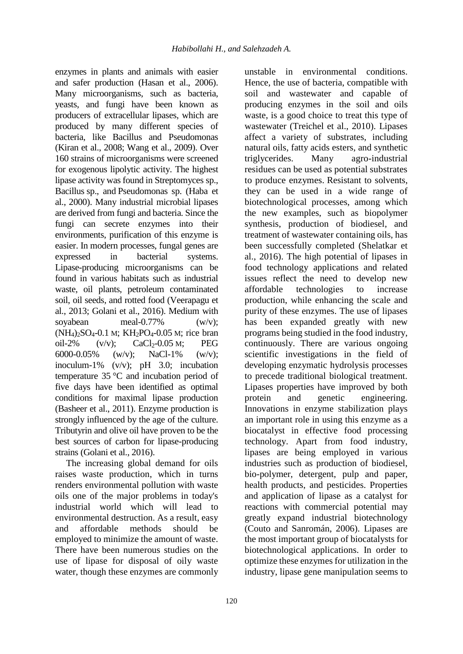enzymes in plants and animals with easier and safer production (Hasan et al., 2006). Many microorganisms, such as bacteria, yeasts, and fungi have been known as producers of extracellular lipases, which are produced by many different species of bacteria, like Bacillus and Pseudomonas (Kiran et al., 2008; Wang et al., 2009). Over 160 strains of microorganisms were screened for exogenous lipolytic activity. The highest lipase activity was found in Streptomyces sp., Bacillus sp., and Pseudomonas sp. (Haba et al., 2000). Many industrial microbial lipases are derived from fungi and bacteria. Since the fungi can secrete enzymes into their environments, purification of this enzyme is easier. In modern processes, fungal genes are expressed in bacterial systems. Lipase-producing microorganisms can be found in various habitats such as industrial waste, oil plants, petroleum contaminated soil, oil seeds, and rotted food (Veerapagu et al., 2013; Golani et al., 2016). Medium with soyabean meal-0.77% (w/v);  $(NH_4)_2SO_4$ -0.1 M;  $KH_2PO_4$ -0.05 M; rice bran oil-2%  $(v/v)$ ; CaCl<sub>2</sub>-0.05 M; PEG 6000-0.05% (w/v); NaCl-1% (w/v); inoculum-1% (v/v); pH 3.0; incubation temperature 35 °C and incubation period of five days have been identified as optimal conditions for maximal lipase production (Basheer et al., 2011). Enzyme production is strongly influenced by the age of the culture. Tributyrin and olive oil have proven to be the best sources of carbon for lipase-producing strains (Golani et al., 2016).

The increasing global demand for oils raises waste production, which in turns renders environmental pollution with waste oils one of the major problems in today's industrial world which will lead to environmental destruction. As a result, easy and affordable methods should be employed to minimize the amount of waste. There have been numerous studies on the use of lipase for disposal of oily waste water, though these enzymes are commonly

Hence, the use of bacteria, compatible with soil and wastewater and capable of producing enzymes in the soil and oils waste, is a good choice to treat this type of wastewater (Treichel et al., 2010). Lipases affect a variety of substrates, including natural oils, fatty acids esters, and synthetic triglycerides. Many agro-industrial residues can be used as potential substrates to produce enzymes. Resistant to solvents, they can be used in a wide range of biotechnological processes, among which the new examples, such as biopolymer synthesis, production of biodiesel, and treatment of wastewater containing oils, has been successfully completed (Shelatkar et al., 2016). The high potential of lipases in food technology applications and related issues reflect the need to develop new affordable technologies to increase production, while enhancing the scale and purity of these enzymes. The use of lipases has been expanded greatly with new programs being studied in the food industry, continuously. There are various ongoing scientific investigations in the field of developing enzymatic hydrolysis processes to precede traditional biological treatment. Lipases properties have improved by both protein and genetic engineering. Innovations in enzyme stabilization plays an important role in using this enzyme as a biocatalyst in effective food processing technology. Apart from food industry, lipases are being employed in various industries such as production of biodiesel, bio-polymer, detergent, pulp and paper, health products, and pesticides. Properties and application of lipase as a catalyst for reactions with commercial potential may greatly expand industrial biotechnology (Couto and Sanromán, 2006). Lipases are the most important group of biocatalysts for biotechnological applications. In order to optimize these enzymes for utilization in the industry, lipase gene manipulation seems to

unstable in environmental conditions.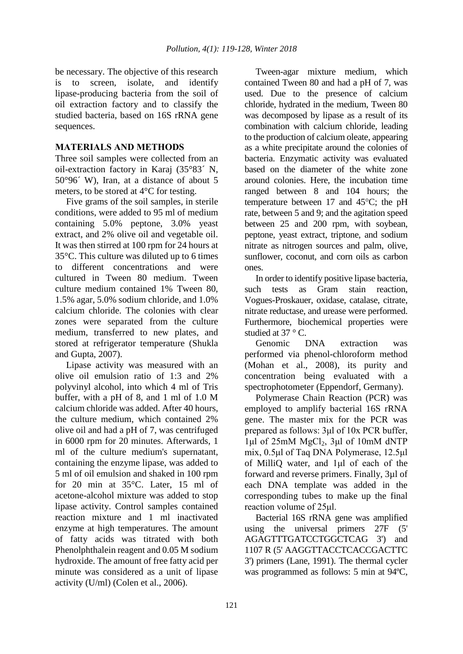be necessary. The objective of this research is to screen, isolate, and identify lipase-producing bacteria from the soil of oil extraction factory and to classify the studied bacteria, based on 16S rRNA gene sequences.

# **MATERIALS AND METHODS**

Three soil samples were collected from an oil-extraction factory in Karaj (35°83´ N, 50°96´ W), Iran, at a distance of about 5 meters, to be stored at 4°C for testing.

Five grams of the soil samples, in sterile conditions, were added to 95 ml of medium containing 5.0% peptone, 3.0% yeast extract, and 2% olive oil and vegetable oil. It was then stirred at 100 rpm for 24 hours at 35°C. This culture was diluted up to 6 times to different concentrations and were cultured in Tween 80 medium. Tween culture medium contained 1% Tween 80, 1.5% agar, 5.0% sodium chloride, and 1.0% calcium chloride. The colonies with clear zones were separated from the culture medium, transferred to new plates, and stored at refrigerator temperature (Shukla and Gupta, 2007).

Lipase activity was measured with an olive oil emulsion ratio of 1:3 and 2% polyvinyl alcohol, into which 4 ml of Tris buffer, with a pH of 8, and 1 ml of 1.0 M calcium chloride was added. After 40 hours, the culture medium, which contained 2% olive oil and had a pH of 7, was centrifuged in 6000 rpm for 20 minutes. Afterwards, 1 ml of the culture medium's supernatant, containing the enzyme lipase, was added to 5 ml of oil emulsion and shaked in 100 rpm for 20 min at 35°C. Later, 15 ml of acetone-alcohol mixture was added to stop lipase activity. Control samples contained reaction mixture and 1 ml inactivated enzyme at high temperatures. The amount of fatty acids was titrated with both Phenolphthalein reagent and 0.05 M sodium hydroxide. The amount of free fatty acid per minute was considered as a unit of lipase activity (U/ml) (Colen et al., 2006).

Tween-agar mixture medium, which contained Tween 80 and had a pH of 7, was used. Due to the presence of calcium chloride, hydrated in the medium, Tween 80 was decomposed by lipase as a result of its combination with calcium chloride, leading to the production of calcium oleate, appearing as a white precipitate around the colonies of bacteria. Enzymatic activity was evaluated based on the diameter of the white zone around colonies. Here, the incubation time ranged between 8 and 104 hours; the temperature between 17 and  $45^{\circ}$ C; the pH rate, between 5 and 9; and the agitation speed between 25 and 200 rpm, with soybean, peptone, yeast extract, triptone, and sodium nitrate as nitrogen sources and palm, olive, sunflower, coconut, and corn oils as carbon ones.

In order to identify positive lipase bacteria, such tests as Gram stain reaction, Vogues-Proskauer, oxidase, catalase, citrate, nitrate reductase, and urease were performed. Furthermore, biochemical properties were studied at 37 °C.

Genomic DNA extraction was performed via phenol-chloroform method (Mohan et al., 2008), its purity and concentration being evaluated with a spectrophotometer (Eppendorf, Germany).

Polymerase Chain Reaction (PCR) was employed to amplify bacterial 16S rRNA gene. The master mix for the PCR was prepared as follows: 3μl of 10x PCR buffer,  $1\mu$ l of 25mM MgCl<sub>2</sub>,  $3\mu$ l of 10mM dNTP mix, 0.5μl of Taq DNA Polymerase, 12.5μl of MilliQ water, and 1μl of each of the forward and reverse primers. Finally, 3µl of each DNA template was added in the corresponding tubes to make up the final reaction volume of 25μl.

Bacterial 16S rRNA gene was amplified using the universal primers 27F (5' AGAGTTTGATCCTGGCTCAG 3') and 1107 R (5' AAGGTTACCTCACCGACTTC 3') primers (Lane, 1991). The thermal cycler was programmed as follows: 5 min at 94ºC,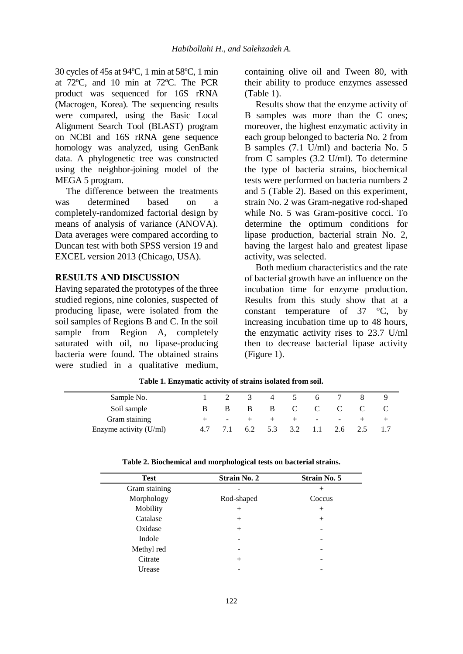30 cycles of 45s at 94ºC, 1 min at 58ºC, 1 min at 72ºC, and 10 min at 72ºC. The PCR product was sequenced for 16S rRNA (Macrogen, Korea). The sequencing results were compared, using the Basic Local Alignment Search Tool (BLAST) program on NCBI and 16S rRNA gene sequence homology was analyzed, using GenBank data. A phylogenetic tree was constructed using the neighbor-joining model of the MEGA 5 program.

The difference between the treatments was determined based on a completely-randomized factorial design by means of analysis of variance (ANOVA). Data averages were compared according to Duncan test with both SPSS version 19 and EXCEL version 2013 (Chicago, USA).

# **RESULTS AND DISCUSSION**

Having separated the prototypes of the three studied regions, nine colonies, suspected of producing lipase, were isolated from the soil samples of Regions B and C. In the soil sample from Region A, completely saturated with oil, no lipase-producing bacteria were found. The obtained strains were studied in a qualitative medium,

containing olive oil and Tween 80, with their ability to produce enzymes assessed (Table 1).

Results show that the enzyme activity of B samples was more than the C ones; moreover, the highest enzymatic activity in each group belonged to bacteria No. 2 from B samples (7.1 U/ml) and bacteria No. 5 from C samples (3.2 U/ml). To determine the type of bacteria strains, biochemical tests were performed on bacteria numbers 2 and 5 (Table 2). Based on this experiment, strain No. 2 was Gram-negative rod-shaped while No. 5 was Gram-positive cocci. To determine the optimum conditions for lipase production, bacterial strain No. 2, having the largest halo and greatest lipase activity, was selected.

Both medium characteristics and the rate of bacterial growth have an influence on the incubation time for enzyme production. Results from this study show that at a constant temperature of  $37 \degree$ C, by increasing incubation time up to 48 hours, the enzymatic activity rises to 23.7 U/ml then to decrease bacterial lipase activity (Figure 1).

| Sample No.             |     |        |     |     |              | <sub>0</sub> |        |  |
|------------------------|-----|--------|-----|-----|--------------|--------------|--------|--|
| Soil sample            | R   |        | В   | — В | $\mathbf{C}$ | $\mathbf{C}$ |        |  |
| Gram staining          |     | $\sim$ |     |     | $+$          | ۰.           | $\sim$ |  |
| Enzyme activity (U/ml) | 4.7 |        | 6.2 | 5.3 | 3.2          |              | 2.6    |  |

**Table 1. Enzymatic activity of strains isolated from soil.**

| <b>Test</b>   | <b>Strain No. 2</b> | <b>Strain No. 5</b> |
|---------------|---------------------|---------------------|
| Gram staining |                     | $\pm$               |
| Morphology    | Rod-shaped          | Coccus              |
| Mobility      | $^{+}$              | $^{+}$              |
| Catalase      | $^{+}$              | $^{+}$              |
| Oxidase       | $^{+}$              |                     |
| Indole        |                     |                     |
| Methyl red    |                     |                     |
| Citrate       | $+$                 |                     |
| Urease        |                     |                     |

**Table 2. Biochemical and morphological tests on bacterial strains.**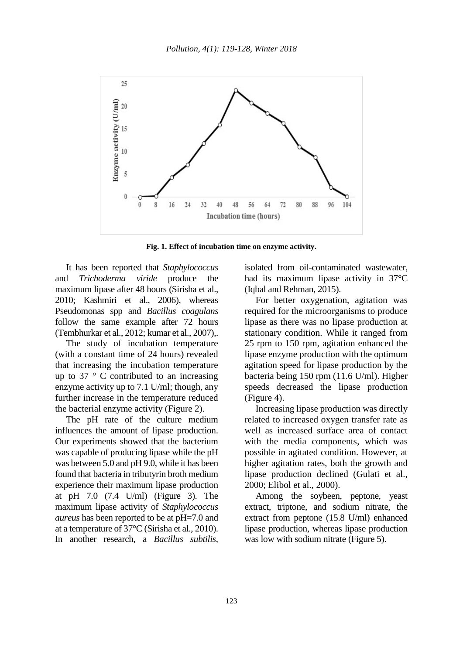

**Fig. 1. Effect of incubation time on enzyme activity.**

It has been reported that *Staphylococcus* and *Trichoderma viride* produce the maximum lipase after 48 hours (Sirisha et al., 2010; Kashmiri et al., 2006), whereas Pseudomonas spp and *Bacillus coagulans* follow the same example after 72 hours (Tembhurkar et al., 2012; kumar et al., 2007),.

The study of incubation temperature (with a constant time of 24 hours) revealed that increasing the incubation temperature up to 37 $\degree$  C contributed to an increasing enzyme activity up to 7.1 U/ml; though, any further increase in the temperature reduced the bacterial enzyme activity (Figure 2).

The pH rate of the culture medium influences the amount of lipase production. Our experiments showed that the bacterium was capable of producing lipase while the pH was between 5.0 and pH 9.0, while it has been found that bacteria in tributyrin broth medium experience their maximum lipase production at pH 7.0 (7.4 U/ml) (Figure 3). The maximum lipase activity of *Staphylococcus aureus* has been reported to be at pH=7.0 and at a temperature of 37°C (Sirisha et al., 2010). In another research, a *Bacillus subtilis*,

isolated from oil-contaminated wastewater, had its maximum lipase activity in 37°C (Iqbal and Rehman, 2015).

For better oxygenation, agitation was required for the microorganisms to produce lipase as there was no lipase production at stationary condition. While it ranged from 25 rpm to 150 rpm, agitation enhanced the lipase enzyme production with the optimum agitation speed for lipase production by the bacteria being 150 rpm (11.6 U/ml). Higher speeds decreased the lipase production (Figure 4).

Increasing lipase production was directly related to increased oxygen transfer rate as well as increased surface area of contact with the media components, which was possible in agitated condition. However, at higher agitation rates, both the growth and lipase production declined (Gulati et al., 2000; Elibol et al., 2000).

Among the soybeen, peptone, yeast extract, triptone, and sodium nitrate, the extract from peptone (15.8 U/ml) enhanced lipase production, whereas lipase production was low with sodium nitrate (Figure 5).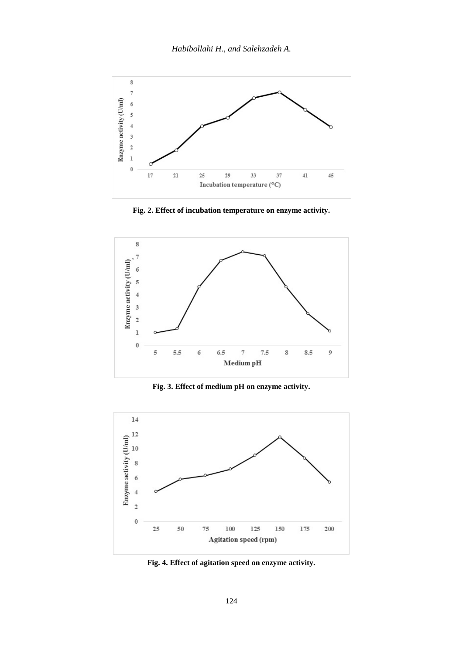

**Fig. 2. Effect of incubation temperature on enzyme activity.**



**Fig. 3. Effect of medium pH on enzyme activity.**



**Fig. 4. Effect of agitation speed on enzyme activity.**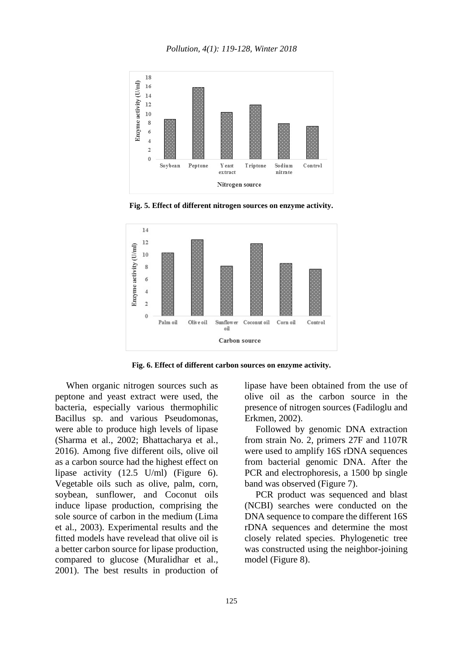

**Fig. 5. Effect of different nitrogen sources on enzyme activity.**



**Fig. 6. Effect of different carbon sources on enzyme activity.**

When organic nitrogen sources such as peptone and yeast extract were used, the bacteria, especially various thermophilic Bacillus sp. and various Pseudomonas, were able to produce high levels of lipase (Sharma et al., 2002; Bhattacharya et al., 2016). Among five different oils, olive oil as a carbon source had the highest effect on lipase activity (12.5 U/ml) (Figure 6). Vegetable oils such as olive, palm, corn, soybean, sunflower, and Coconut oils induce lipase production, comprising the sole source of carbon in the medium (Lima et al., 2003). Experimental results and the fitted models have revelead that olive oil is a better carbon source for lipase production, compared to glucose (Muralidhar et al., 2001). The best results in production of

lipase have been obtained from the use of olive oil as the carbon source in the presence of nitrogen sources (Fadiloglu and Erkmen, 2002).

Followed by genomic DNA extraction from strain No. 2, primers 27F and 1107R were used to amplify 16S rDNA sequences from bacterial genomic DNA. After the PCR and electrophoresis, a 1500 bp single band was observed (Figure 7).

PCR product was sequenced and blast (NCBI) searches were conducted on the DNA sequence to compare the different 16S rDNA sequences and determine the most closely related species. Phylogenetic tree was constructed using the neighbor-joining model (Figure 8).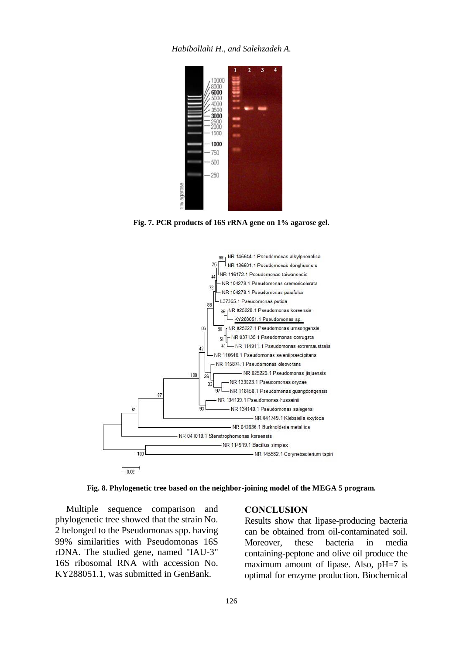*Habibollahi H., and Salehzadeh A.*



**Fig. 7. PCR products of 16S rRNA gene on 1% agarose gel.**



**Fig. 8. Phylogenetic tree based on the neighbor-joining model of the MEGA 5 program.**

Multiple sequence comparison and phylogenetic tree showed that the strain No. 2 belonged to the Pseudomonas spp. having 99% similarities with Pseudomonas 16S rDNA. The studied gene, named "IAU-3" 16S ribosomal RNA with accession No. KY288051.1, was submitted in GenBank.

### **CONCLUSION**

Results show that lipase-producing bacteria can be obtained from oil-contaminated soil. Moreover, these bacteria in media containing-peptone and olive oil produce the maximum amount of lipase. Also, pH=7 is optimal for enzyme production. Biochemical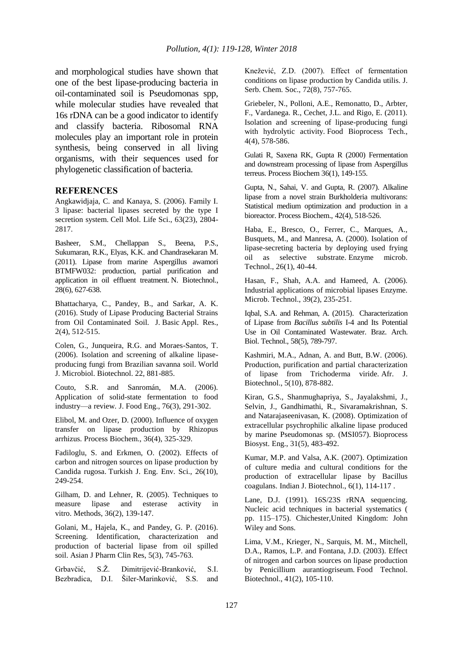and morphological studies have shown that one of the best lipase-producing bacteria in oil-contaminated soil is Pseudomonas spp, while molecular studies have revealed that 16s rDNA can be a good indicator to identify and classify bacteria. Ribosomal RNA molecules play an important role in protein synthesis, being conserved in all living organisms, with their sequences used for phylogenetic classification of bacteria.

#### **REFERENCES**

Angkawidjaja, C. and Kanaya, S. (2006). Family I. 3 lipase: bacterial lipases secreted by the type I secretion system. Cell Mol. Life Sci., 63(23), 2804- 2817.

Basheer, S.M., Chellappan S., Beena, P.S., Sukumaran, R.K., Elyas, K.K. and Chandrasekaran M. (2011). Lipase from marine Aspergillus awamori BTMFW032: production, partial purification and application in oil effluent treatment. N. Biotechnol., 28(6), 627-638.

Bhattacharya, C., Pandey, B., and Sarkar, A. K. (2016). Study of Lipase Producing Bacterial Strains from Oil Contaminated Soil. J. Basic Appl. Res., 2(4), 512-515.

Colen, G., Junqueira, R.G. and Moraes-Santos, T. (2006). Isolation and screening of alkaline lipaseproducing fungi from Brazilian savanna soil. World J. Microbiol. Biotechnol. 22, 881-885.

Couto, S.R. and Sanromán, M.A. (2006). Application of solid-state fermentation to food industry—a review. J. Food Eng., 76(3), 291-302.

Elibol, M. and Ozer, D. (2000). Influence of oxygen transfer on lipase production by Rhizopus arrhizus. Process Biochem., 36(4), 325-329.

Fadiloglu, S. and Erkmen, O. (2002). Effects of carbon and nitrogen sources on lipase production by Candida rugosa. Turkish J. Eng. Env. Sci., 26(10), 249-254.

Gilham, D. and Lehner, R. (2005). Techniques to measure lipase and esterase activity in vitro. Methods, 36(2), 139-147.

Golani, M., Hajela, K., and Pandey, G. P. (2016). Screening. Identification, characterization and production of bacterial lipase from oil spilled soil. Asian J Pharm Clin Res, 5(3), 745-763.

Grbavčić, S.Ž. Dimitrijević-Branković, S.I. Bezbradica, D.I. Šiler-Marinković, S.S. and

Knežević, Z.D. (2007). Effect of fermentation conditions on lipase production by Candida utilis. J. Serb. Chem. Soc., 72(8), 757-765.

Griebeler, N., Polloni, A.E., Remonatto, D., Arbter, F., Vardanega. R., Cechet, J.L. and Rigo, E. (2011). Isolation and screening of lipase-producing fungi with hydrolytic activity. Food Bioprocess Tech., 4(4), 578-586.

Gulati R, Saxena RK, Gupta R (2000) Fermentation and downstream processing of lipase from Aspergillus terreus. Process Biochem 36(1), 149-155.

Gupta, N., Sahai, V. and Gupta, R. (2007). Alkaline lipase from a novel strain Burkholderia multivorans: Statistical medium optimization and production in a bioreactor. Process Biochem., 42(4), 518-526.

Haba, E., Bresco, O., Ferrer, C., Marques, A., Busquets, M., and Manresa, A. (2000). Isolation of lipase-secreting bacteria by deploying used frying oil as selective substrate. Enzyme microb. Technol., 26(1), 40-44.

Hasan, F., Shah, A.A. and Hameed, A. (2006). Industrial applications of microbial lipases Enzyme. Microb. Technol., 39(2), 235-251.

Iqbal, S.A. and Rehman, A. (2015). Characterization of Lipase from *Bacillus subtilis* I-4 and Its Potential Use in Oil Contaminated Wastewater. Braz. Arch. Biol. Technol., 58(5), 789-797.

Kashmiri, M.A., Adnan, A. and Butt, B.W. (2006). Production, purification and partial characterization of lipase from Trichoderma viride. Afr. J. Biotechnol., 5(10), 878-882.

Kiran, G.S., Shanmughapriya, S., Jayalakshmi, J., Selvin, J., Gandhimathi, R., Sivaramakrishnan, S. and Natarajaseenivasan, K. (2008). Optimization of extracellular psychrophilic alkaline lipase produced by marine Pseudomonas sp. (MSI057). Bioprocess Biosyst. Eng., 31(5), 483-492.

Kumar, M.P. and Valsa, A.K. (2007). Optimization of culture media and cultural conditions for the production of extracellular lipase by Bacillus coagulans. Indian J. Biotechnol., 6(1), 114-117 .

Lane, D.J. (1991). 16S/23S rRNA sequencing. Nucleic acid techniques in bacterial systematics ( pp. 115–175). Chichester,United Kingdom: John Wiley and Sons.

Lima, V.M., Krieger, N., Sarquis, M. M., Mitchell, D.A., Ramos, L.P. and Fontana, J.D. (2003). Effect of nitrogen and carbon sources on lipase production by Penicillium aurantiogriseum. Food Technol. Biotechnol., 41(2), 105-110.